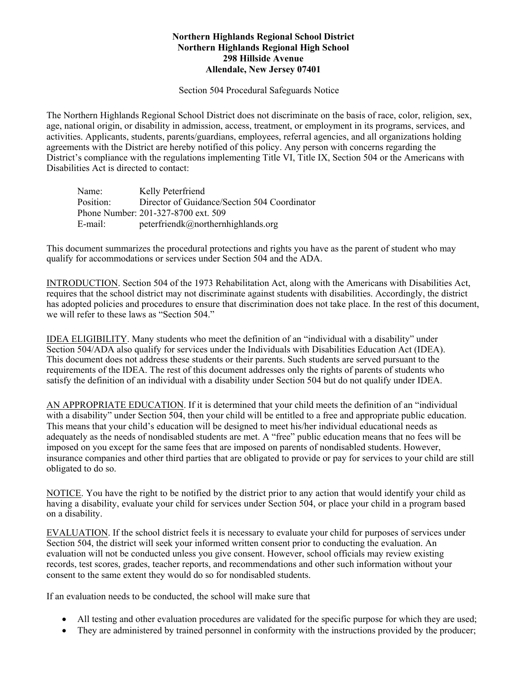## **Northern Highlands Regional School District Northern Highlands Regional High School 298 Hillside Avenue Allendale, New Jersey 07401**

Section 504 Procedural Safeguards Notice

The Northern Highlands Regional School District does not discriminate on the basis of race, color, religion, sex, age, national origin, or disability in admission, access, treatment, or employment in its programs, services, and activities. Applicants, students, parents/guardians, employees, referral agencies, and all organizations holding agreements with the District are hereby notified of this policy. Any person with concerns regarding the District's compliance with the regulations implementing Title VI, Title IX, Section 504 or the Americans with Disabilities Act is directed to contact:

| Name:     | Kelly Peterfriend                            |
|-----------|----------------------------------------------|
| Position: | Director of Guidance/Section 504 Coordinator |
|           | Phone Number: 201-327-8700 ext. 509          |
| E-mail:   | peterfriendk@northernhighlands.org           |

This document summarizes the procedural protections and rights you have as the parent of student who may qualify for accommodations or services under Section 504 and the ADA.

INTRODUCTION. Section 504 of the 1973 Rehabilitation Act, along with the Americans with Disabilities Act, requires that the school district may not discriminate against students with disabilities. Accordingly, the district has adopted policies and procedures to ensure that discrimination does not take place. In the rest of this document, we will refer to these laws as "Section 504."

IDEA ELIGIBILITY. Many students who meet the definition of an "individual with a disability" under Section 504/ADA also qualify for services under the Individuals with Disabilities Education Act (IDEA). This document does not address these students or their parents. Such students are served pursuant to the requirements of the IDEA. The rest of this document addresses only the rights of parents of students who satisfy the definition of an individual with a disability under Section 504 but do not qualify under IDEA.

AN APPROPRIATE EDUCATION. If it is determined that your child meets the definition of an "individual with a disability" under Section 504, then your child will be entitled to a free and appropriate public education. This means that your child's education will be designed to meet his/her individual educational needs as adequately as the needs of nondisabled students are met. A "free" public education means that no fees will be imposed on you except for the same fees that are imposed on parents of nondisabled students. However, insurance companies and other third parties that are obligated to provide or pay for services to your child are still obligated to do so.

NOTICE. You have the right to be notified by the district prior to any action that would identify your child as having a disability, evaluate your child for services under Section 504, or place your child in a program based on a disability.

EVALUATION. If the school district feels it is necessary to evaluate your child for purposes of services under Section 504, the district will seek your informed written consent prior to conducting the evaluation. An evaluation will not be conducted unless you give consent. However, school officials may review existing records, test scores, grades, teacher reports, and recommendations and other such information without your consent to the same extent they would do so for nondisabled students.

If an evaluation needs to be conducted, the school will make sure that

- All testing and other evaluation procedures are validated for the specific purpose for which they are used;
- They are administered by trained personnel in conformity with the instructions provided by the producer;